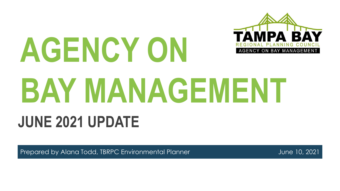

# **AGENCY ON BAY MANAGEMENT JUNE 2021 UPDATE**

Prepared by Alana Todd, TBRPC Environmental Planner and announcement of the United 10, 2021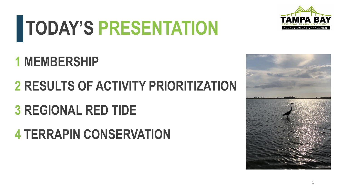# **TODAY'S PRESENTATION**



### **1 MEMBERSHIP**

### **RESULTS OF ACTIVITY PRIORITIZATION**

### **REGIONAL RED TIDE**

### **TERRAPIN CONSERVATION**

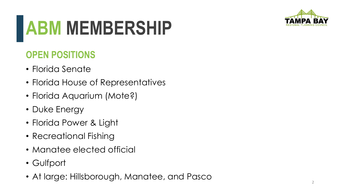

## **ABM MEMBERSHIP**

#### **OPEN POSITIONS**

- Florida Senate
- Florida House of Representatives
- Florida Aquarium (Mote?)
- Duke Energy
- Florida Power & Light
- Recreational Fishing
- Manatee elected official
- Gulfport
- At large: Hillsborough, Manatee, and Pasco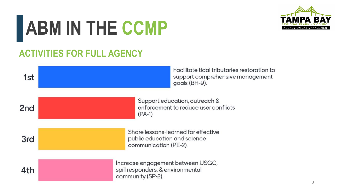# **ABM IN THE CCMP**



#### **ACTIVITIES FOR FULL AGENCY**

| 1st             | Facilitate tidal tributaries restoration to<br>support comprehensive management<br>goals (BH-9). |
|-----------------|--------------------------------------------------------------------------------------------------|
| 2 <sub>nd</sub> | Support education, outreach &<br>enforcement to reduce user conflicts<br>$(PA-1)$                |
| 3rd             | Share lessons-learned for effective<br>public education and science<br>communication (PE-2).     |
| 4th             | Increase engagement between USGC,<br>spill responders, & environmental<br>community (SP-2).      |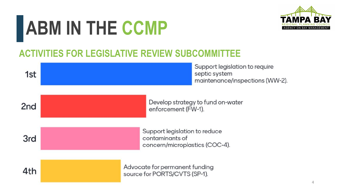# **ABM IN THE CCMP**



#### **ACTIVITIES FOR LEGISLATIVE REVIEW SUBCOMMITTEE**

| 1st             | Support legislation to require<br>septic system<br>maintenance/inspections (WW-2). |
|-----------------|------------------------------------------------------------------------------------|
| 2 <sub>nd</sub> | Develop strategy to fund on-water<br>enforcement (FW-1).                           |
| 3rd             | Support legislation to reduce<br>contaminants of<br>concern/microplastics (COC-4). |
| 4th             | Advocate for permanent funding<br>source for PORTS/CVTS (SP-1).                    |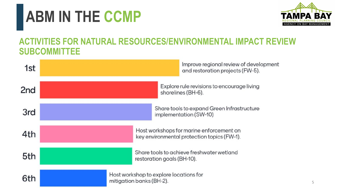### **ABM IN THE CCMP**



#### **ACTIVITIES FOR NATURAL RESOURCES/ENVIRONMENTAL IMPACT REVIEW SUBCOMMITTEE**

| 1st             | Improve regional review of development<br>and restoration projects (FW-5).              |
|-----------------|-----------------------------------------------------------------------------------------|
| 2 <sub>nd</sub> | Explore rule revisions to encourage living<br>shorelines (BH-6).                        |
| 3rd             | Share tools to expand Green Infrastructure<br>implementation (SW-10)                    |
| 4th             | Host workshops for marine enforcement on<br>key environmental protection topics (FW-1). |
| 5th             | Share tools to achieve freshwater wetland<br>restoration goals (BH-10).                 |
| 6th             | Host workshop to explore locations for<br>mitigation banks (BH-2).                      |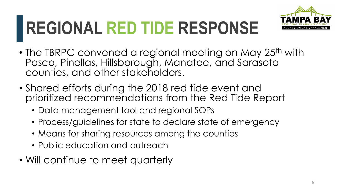

### **REGIONAL RED TIDE RESPONSE**

- The TBRPC convened a regional meeting on May 25<sup>th</sup> with Pasco, Pinellas, Hillsborough, Manatee, and Sarasota counties, and other stakeholders.
- Shared efforts during the 2018 red tide event and prioritized recommendations from the Red Tide Report
	- Data management tool and regional SOPs
	- Process/guidelines for state to declare state of emergency
	- Means for sharing resources among the counties
	- Public education and outreach
- Will continue to meet quarterly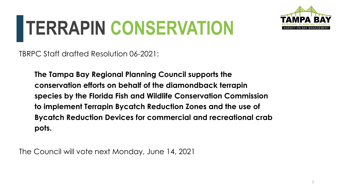## **TERRAPIN CONSERVATION**



TBRPC Staff drafted Resolution 06-2021:

**The Tampa Bay Regional Planning Council supports the conservation efforts on behalf of the diamondback terrapin species by the Florida Fish and Wildlife Conservation Commission to implement Terrapin Bycatch Reduction Zones and the use of Bycatch Reduction Devices for commercial and recreational crab pots.**

The Council will vote next Monday, June 14, 2021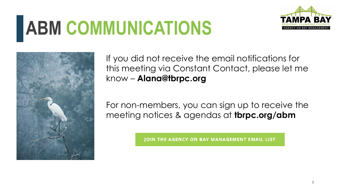## **ABM COMMUNICATIONS**





If you did not receive the email notifications for this meeting via Constant Contact, please let me know – **Alana@tbrpc.org**

For non-members, you can sign up to receive the meeting notices & agendas at **tbrpc.org/abm**

**JOIN THE AGENCY ON BAY MANAGEMENT EMAIL LIST**